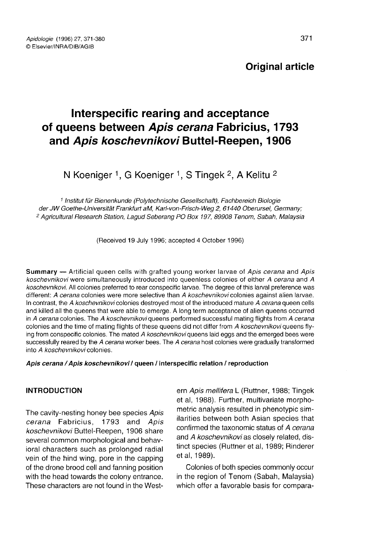## Original article

# Interspecific rearing and acceptance of queens between Apis cerana Fabricius, 1793 and Apis koschevnikovi Buttel-Reepen, 1906

N Koeniger <sup>1</sup>, G Koeniger <sup>1</sup>, S Tingek <sup>2</sup>, A Kelitu <sup>2</sup>

<sup>1</sup> Institut für Bienenkunde (Polytechnische Gesellschaft), Fachbereich Biologie der JW Goethe-Universität Frankfurt aM, Karl-von-Frisch-Weg 2, 61440 Oberursel, Germany; <sup>2</sup> Agricultural Research Station, Lagud Seberang PO Box 197, 89908 Tenom, Sabah, Malaysia

(Received 19 July 1996; accepted 4 October 1996)

Summary — Artificial queen cells with grafted young worker larvae of Apis cerana and Apis koschevnikovi were simultaneously introduced into queenless colonies of either A cerana and A koschevnikovi. All colonies preferred to rear conspecific larvae. The degree of this larval preference was different: A cerana colonies were more selective than A koschevnikovi colonies against alien larvae. In contrast, the A koschevnikovi colonies destroyed most of the introduced mature A cerana queen cells and killed all the queens that were able to emerge. A long term acceptance of alien queens occurred in A cerana colonies. The A koschevnikovi queens performed successful mating flights from A cerana colonies and the time of mating flights of these queens did not differ from A koschevnikovi queens flying from conspecific colonies. The mated A koschevnikovi queens laid eggs and the emerged bees were successfully reared by the A cerana worker bees. The A cerana host colonies were gradually transformed into A koschevnikovi colonies.

## Apis cerana / Apis koschevnikovi / queen / interspecific relation / reproduction

## **INTRODUCTION**

The cavity-nesting honey bee species Apis<br>cerana Fabricius, 1793 and Apis cerana Fabricius, koschevnikovi Buttel-Reepen, 1906 share several common morphological and behavioral characters such as prolonged radial vein of the hind wing, pore in the capping of the drone brood cell and fanning position with the head towards the colony entrance. These characters are not found in the Western Apis mellifera L (Ruttner, 1988; Tingek et al, 1988). Further, multivariate morphometric analysis resulted in phenotypic similarities between both Asian species that confirmed the taxonomic status of A cerana and A koschevnikovi as closely related, distinct species (Ruttner et al, 1989; Rinderer et al, 1989).

Colonies of both species commonly occur in the region of Tenom (Sabah, Malaysia) which offer a favorable basis for compara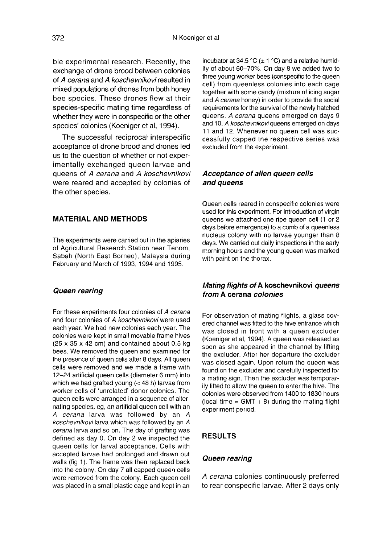ble experimental research. Recently, the exchange of drone brood between colonies of A cerana and A koschevnikovi resulted in mixed populations of drones from both honey bee species. These drones flew at their species-specific mating time regardless of whether they were in conspecific or the other species' colonies (Koeniger et al, 1994).

The successful reciprocal interspecific acceptance of drone brood and drones led us to the question of whether or not experimentally exchanged queen larvae and queens of A cerana and A koschevnikovi were reared and accepted by colonies of the other species.

## MATERIAL AND METHODS

The experiments were carried out in the apiaries of Agricultural Research Station near Tenom, Sabah (North East Borneo), Malaysia during February and March of 1993, 1994 and 1995.

#### Queen rearing

For these experiments four colonies of A cerana and four colonies of A koschevnikovi were used each year. We had new colonies each year. The colonies were kept in small movable frame hives (25 x 35 x 42 cm) and contained about 0.5 kg bees. We removed the queen and examined for the presence of queen cells after 8 days. All queen cells were removed and we made a frame with 12-24 artificial queen cells (diameter 6 mm) into which we had grafted young (< 48 h) larvae from worker cells of 'unrelated' donor colonies. The queen cells were arranged in a sequence of alternating species, eg, an artificial queen cell with an A cerana larva was followed by an A koschevnikovi larva which was followed by an A cerana larva and so on. The day of grafting was defined as day 0. On day 2 we inspected the queen cells for larval acceptance. Cells with accepted larvae had prolonged and drawn out walls (fig 1). The frame was then replaced back into the colony. On day 7 all capped queen cells were removed from the colony. Each queen cell was placed in a small plastic cage and kept in an

incubator at 34.5 °C ( $\pm$  1 °C) and a relative humidity of about 60-70%. On day 8 we added two to three young worker bees (conspecific to the queen cell) from queenless colonies into each cage together with some candy (mixture of icing sugar and A cerana honey) in order to provide the social requirements for the survival of the newly hatched queens. A cerana queens emerged on days 9 and 10. A koschevnikovi queens emerged on days 11 and 12. Whenever no queen cell was successfully capped the respective series was excluded from the experiment.

## Acceptance of alien queen cells and queens

Queen cells reared in conspecific colonies were used for this experiment. For introduction of virgin queens we attached one ripe queen cell (1 or 2 days before emergence) to a comb of a queenless nucleus colony with no larvae younger than 8 days. We carried out daily inspections in the early morning hours and the young queen was marked with paint on the thorax.

## Mating flights of A koschevnikovi queens from A cerana colonies

For observation of mating flights, a glass covered channel was fitted to the hive entrance which was closed in front with a queen excluder (Koeniger et al, 1994). A queen was released as soon as she appeared in the channel by lifting the excluder. After her departure the excluder was closed again. Upon return the queen was found on the excluder and carefully inspected for a mating sign. Then the excluder was temporarily lifted to allow the queen to enter the hive. The colonies were observed from 1400 to 1830 hours (local time  $=$  GMT  $+$  8) during the mating flight experiment period.

## RESULTS

#### Queen rearing

A cerana colonies continuously preferred to rear conspecific larvae. After 2 days only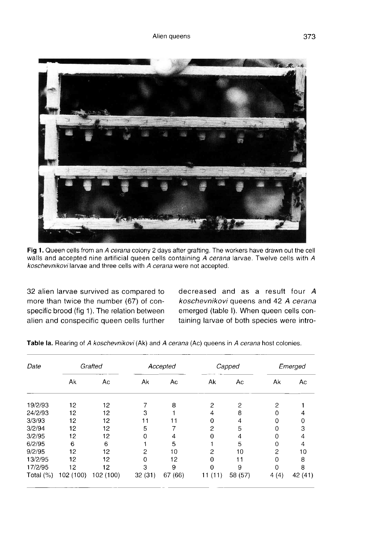

Fig 1. Queen cells from an A cerana colony 2 days after grafting. The workers have drawn out the cell walls and accepted nine artificial queen cells containing A cerana larvae. Twelve cells with A koschevnikovi larvae and three cells with A cerana were not accepted.

32 alien larvae survived as compared to more than twice the number (67) of conspecific brood (fig 1). The relation between alien and conspecific queen cells further decreased and as a result four A koschevnikovi queens and 42 A cerana emerged (table I). When queen cells containing larvae of both species were intro-

| Date      | Grafted   |           | Accepted |         | Capped     |         | Emerged  |         |
|-----------|-----------|-----------|----------|---------|------------|---------|----------|---------|
|           | Ak        | Ac        | Ak       | Ac      | Ak         | Ac      | Ak       | Ac      |
| 19/2/93   | 12        | 12        |          | 8       | 2          | 2       | 2        |         |
| 24/2/93   | 12        | 12        | 3        |         | 4          | 8       | 0        |         |
| 3/3/93    | 12        | 12        | 11       | 11      | 0          | 4       | $\Omega$ |         |
| 3/2/94    | 12        | 12        | 5        |         | 2          | 5       | 0        | 3       |
| 3/2/95    | 12        | 12        | 0        | 4       | 0          | 4       | 0        | 4       |
| 6/2/95    | 6         | 6         |          | 5       |            | 5       | $\Omega$ | 4       |
| 9/2/95    | 12        | 12        | 2        | 10      | 2          | 10      | 2        | 10      |
| 13/2/95   | 12        | 12        | 0        | 12      | 0          | 11      | $\Omega$ | 8       |
| 17/2/95   | 12        | 12        | 3        | 9       |            | 9       | 0        | 8       |
| Total (%) | 102 (100) | 102 (100) | 32(31)   | 67 (66) | (11)<br>11 | 58 (57) | 4(4)     | 42 (41) |

Table la. Rearing of A koschevnikovi (Ak) and A cerana (Ac) queens in A cerana host colonies.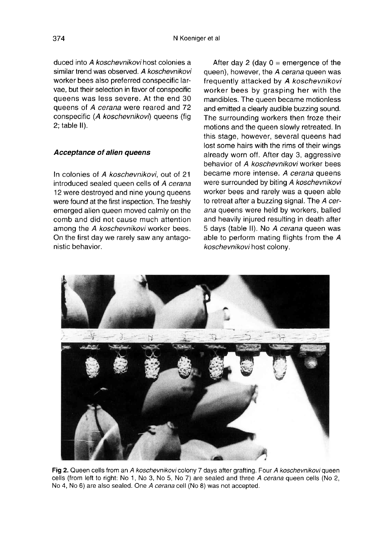duced into A koschevnikovi host colonies a similar trend was observed. A koschevnikovi worker bees also preferred conspecific larvae, but their selection in favor of conspecific queens was less severe. At the end 30 queens of A cerana were reared and 72 conspecific (A koschevnikovi) queens (fig 2; table II).

## Acceptance of alien queens

In colonies of A koschevnikovi, out of 21 introduced sealed queen cells of A cerana 12 were destroyed and nine young queens were found at the first inspection. The freshly emerged alien queen moved calmly on the comb and did not cause much attention among the A koschevnikovi worker bees. On the first day we rarely saw any antagonistic behavior.

After day 2 (day  $0 =$  emergence of the queen), however, the A cerana queen was frequently attacked by A koschevnikovi worker bees by grasping her with the mandibles. The queen became motionless and emitted a clearly audible buzzing sound. The surrounding workers then froze their motions and the queen slowly retreated. In this stage, however, several queens had lost some hairs with the rims of their wings already worn off. After day 3, aggressive behavior of A koschevnikovi worker bees became more intense. A cerana queens were surrounded by biting A koschevnikovi worker bees and rarely was a queen able to retreat after a buzzing signal. The A cerana queens were held by workers, balled and heavily injured resulting in death after 5 days (table II). No A cerana queen was able to perform mating flights from the A koschevnikovi host colony.



Fig 2. Queen cells from an A koschevnikovi colony 7 days after grafting. Four A koschevnikovi queen cells (from left to right: No 1, No 3, No 5, No 7) are sealed and three A cerana queen cells (No 2, No 4, No 6) are also sealed. One A cerana cell (No 8) was not accepted.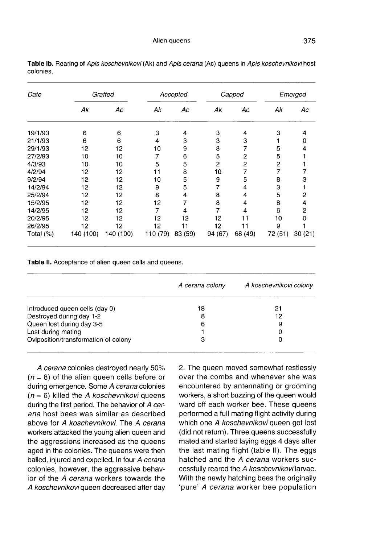375

| Date      | Grafted   |           | Accepted |         | Capped  |         | Emerged |          |
|-----------|-----------|-----------|----------|---------|---------|---------|---------|----------|
|           | Ak        | Ac        | Ak       | Ac      | Ak      | Ac      | Ak      | Аc       |
| 19/1/93   | 6         | 6         | 3        | 4       | 3       | 4       | 3       | 4        |
| 21/1/93   | 6         | 6         | 4        | 3       | 3       | 3       |         | 0        |
| 29/1/93   | 12        | 12        | 10       | 9       | 8       | 7       | 5       | 4        |
| 27/2/93   | 10        | 10        | 7        | 6       | 5       | 2       | 5       |          |
| 4/3/93    | 10        | 10        | 5        | 5       | 2       | 2       | 2       |          |
| 4/2/94    | 12        | 12        | 11       | 8       | 10      | 7       | 7       |          |
| 9/2/94    | 12        | 12        | 10       | 5       | 9       | 5       | 8       | 3        |
| 14/2/94   | 12        | 12        | 9        | 5       |         | 4       | 3       |          |
| 25/2/94   | 12        | 12        | 8        | 4       | 8       | 4       | 5       | 2        |
| 15/2/95   | 12        | 12        | 12       |         | 8       | 4       | 8       | 4        |
| 14/2/95   | 12        | 12        |          | 4       | 7       | 4       | 6       | 2        |
| 20/2/95   | 12        | 12        | 12       | 12      | 12      | 11      | 10      | $\Omega$ |
| 26/2/95   | 12        | 12        | 12       | 11      | 12      | 11      | 9       |          |
| Total (%) | 140 (100) | 140 (100) | 110 (79) | 83 (59) | 94 (67) | 68 (49) | 72 (51) | 30(21)   |

Table Ib. Rearing of Apis koschevnikovi (Ak) and Apis cerana (Ac) queens in Apis koschevnikovi host colonies.

Table II. Acceptance of alien queen cells and queens.

|                                      | A cerana colony | A koschevnikovi colony |
|--------------------------------------|-----------------|------------------------|
| Introduced queen cells (day 0)       | 18              | 21                     |
| Destroyed during day 1-2             | 8               | 12                     |
| Queen lost during day 3-5            | 6               | 9                      |
| Lost during mating                   |                 | 0                      |
| Oviposition/transformation of colony |                 | 0                      |

A cerana colonies destroyed nearly 50%  $(n = 8)$  of the alien queen cells before or during emergence. Some A cerana colonies  $(n = 6)$  killed the A koschevnikovi queens during the first period. The behavior of A cerana host bees was similar as described above for A koschevnikovi. The A cerana workers attacked the young alien queen and the aggressions increased as the queens aged in the colonies. The queens were then balled, injured and expelled. In four A cerana colonies, however, the aggressive behavior of the A cerana workers towards the A koschevnikovi queen decreased after day

2. The queen moved somewhat restlessly over the combs and whenever she was encountered by antennating or grooming workers, a short buzzing of the queen would ward off each worker bee. These queens performed a full mating flight activity during which one A koschevnikovi queen got lost (did not return). Three queens successfully mated and started laying eggs 4 days after the last mating flight (table II). The eggs hatched and the A cerana workers successfully reared the A koschevnikovi larvae. With the newly hatching bees the originally 'pure' A cerana worker bee population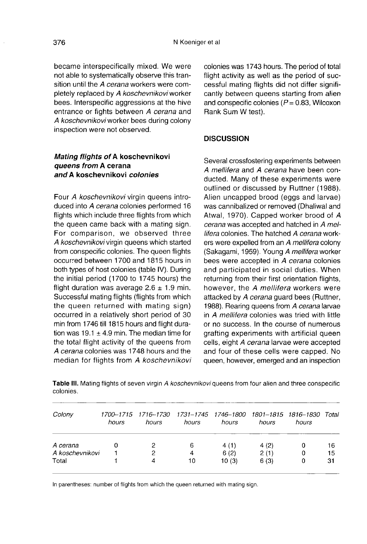became interspecifically mixed. We were not able to systematically observe this transition until the A cerana workers were completely replaced by A koschevnikovi worker bees. Interspecific aggressions at the hive entrance or fights between A cerana and A koschevnikovi worker bees during colony inspection were not observed.

## Mating flights of A koschevnikovi queens from A cerana and A koschevnikovi colonies

Four A koschevnikovi virgin queens introduced into A cerana colonies performed 16 flights which include three flights from which the queen came back with a mating sign. For comparison, we observed three A koschevnikovi virgin queens which started from conspecific colonies. The queen flights occurred between 1700 and 1815 hours in both types of host colonies (table IV). During the initial period (1700 to 1745 hours) the flight duration was average  $2.6 \pm 1.9$  min. Successful mating flights (flights from which the queen returned with mating sign) occurred in a relatively short period of 30 min from 1746 till 1815 hours and flight duration was 19.1  $\pm$  4.9 min. The median time for the total flight activity of the queens from A cerana colonies was 1748 hours and the median for flights from A koschevnikovi colonies was 1743 hours. The period of total flight activity as well as the period of successful mating flights did not differ significantly between queens starting from alien and conspecific colonies ( $P = 0.83$ , Wilcoxon Rank Sum W test).

## **DISCUSSION**

Several crossfostering experiments between A mellifera and A cerana have been conducted. Many of these experiments were outlined or discussed by Ruttner (1988). Alien uncapped brood (eggs and larvae) was cannibalized or removed (Dhaliwal and Atwal, 1970). Capped worker brood of A cerana was accepted and hatched in A mellifera colonies. The hatched A cerana workers were expelled from an A mellifera colony (Sakagami, 1959). Young A mellifera worker bees were accepted in A cerana colonies and participated in social duties. When returning from their first orientation flights, however, the A mellifera workers were attacked by A cerana quard bees (Ruttner, 1988). Rearing queens from A cerana larvae in A mellifera colonies was tried with little or no success. In the course of numerous grafting experiments with artificial queen cells, eight A cerana larvae were accepted and four of these cells were capped. No queen, however, emerged and an inspection

Table III. Mating flights of seven virgin A koschevnikovi queens from four alien and three conspecific colonies.

| Colony          | hours | 1700-1715 1716-1730<br>hours | 1731–1745 1746–1800 1801–1815 1816–1830<br>hours | hours | hours | hours | Total |
|-----------------|-------|------------------------------|--------------------------------------------------|-------|-------|-------|-------|
| A cerana        | Ω     | 2                            | 6                                                | 4(1)  | 4(2)  | 0     | 16    |
| A koschevnikovi |       | 2                            | 4                                                | 6(2)  | 2(1)  | 0     | 15    |
| Total           |       | 4                            | 10                                               | 10(3) | 6(3)  | 0     | 31    |

In parentheses: number of flights from which the queen returned with mating sign.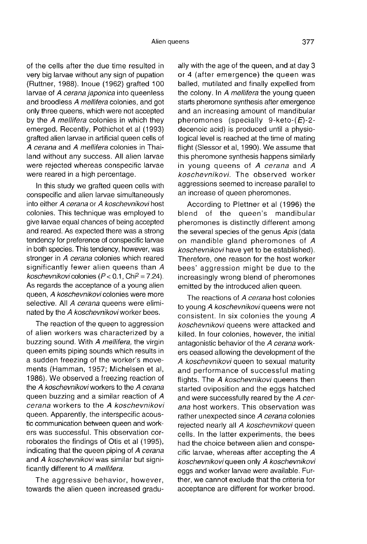of the cells after the due time resulted in very big larvae without any sign of pupation (Ruttner, 1988). Inoue (1962) grafted 100 larvae of A cerana japonica into queenless and broodless A mellifera colonies, and got only three queens, which were not accepted by the A mellifera colonies in which they emerged. Recently, Pothichot et al (1993) grafted alien larvae in artificial queen cells of A cerana and A mellifera colonies in Thailand without any success. All alien larvae were rejected whereas conspecific larvae were reared in a high percentage.

In this study we grafted queen cells with conspecific and alien larvae simultaneously into either A cerana or A koschevnikovi host colonies. This technique was employed to give larvae equal chances of being accepted and reared. As expected there was a strong tendency for preference of conspecific larvae in both species. This tendency, however, was stronger in A cerana colonies which reared significantly fewer alien queens than A koschevnikovi colonies ( $P < 0.1$ , Chi<sup>2</sup> = 7.24). As regards the acceptance of a young alien queen, A koschevnikovi colonies were more selective. All A cerana queens were eliminated by the A koschevnikovi worker bees.

The reaction of the queen to aggression of alien workers was characterized by a buzzing sound. With A mellifera, the virgin queen emits piping sounds which results in a sudden freezing of the worker's movements (Hamman, 1957; Michelsen et al, 1986). We observed a freezing reaction of the A koschevnikovi workers to the A cerana queen buzzing and a similar reaction of A cerana workers to the A koschevnikovi queen. Apparently, the interspecific acoustic communication between queen and workers was successful. This observation corroborates the findings of Otis et al (1995), indicating that the queen piping of A cerana and A koschevnikovi was similar but significantly different to A mellifera.

The aggressive behavior, however, towards the alien queen increased gradu-

ally with the age of the queen, and at day 3 or 4 (after emergence) the queen was balled, mutilated and finally expelled from the colony. In A mellifera the young queen starts pheromone synthesis after emergence and an increasing amount of mandibular pheromones (specially 9-keto- $(E)$ -2decenoic acid) is produced until a physiological level is reached at the time of mating flight (Slessor et al, 1990). We assume that this pheromone synthesis happens similarly in young queens of A cerana and A koschevnikovi. The observed worker aggressions seemed to increase parallel to an increase of queen pheromones.

According to Plettner et al (1996) the blend of the queen's mandibular pheromones is distinctly different among the several species of the genus Apis (data on mandible gland pheromones of A koschevnikovi have yet to be established). Therefore, one reason for the host worker bees' aggression might be due to the increasingly wrong blend of pheromones emitted by the introduced alien queen.

The reactions of A cerana host colonies to young A koschevnikovi queens were not consistent. In six colonies the young A koschevnikovi queens were attacked and killed. In four colonies, however, the initial antagonistic behavior of the A cerana workers ceased allowing the development of the A koschevnikovi queen to sexual maturity and performance of successful mating flights. The A koschevnikovi queens then started oviposition and the eggs hatched and were successfully reared by the A cerana host workers. This observation was rather unexpected since A cerana colonies rejected nearly all A koschevnikovi queen cells. In the latter experiments, the bees had the choice between alien and conspecific larvae, whereas after accepting the A koschevnikovi queen only A koschevnikovi eggs and worker larvae were available. Further, we cannot exclude that the criteria for acceptance are different for worker brood.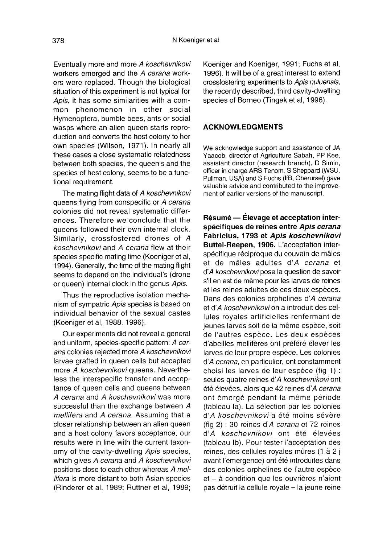Eventually more and more A koschevnikovi workers emerged and the A cerana workers were replaced. Though the biological situation of this experiment is not typical for Apis, it has some similarities with a common phenomenon in other social Hymenoptera, bumble bees, ants or social wasps where an alien queen starts reproduction and converts the host colony to her own species (Wilson, 1971). In nearly all these cases a close systematic relatedness between both species, the queen's and the species of host colony, seems to be a functional requirement.

The mating flight data of A koschevnikovi queens flying from conspecific or A cerana colonies did not reveal systematic differences. Therefore we conclude that the queens followed their own internal clock. Similarly, crossfostered drones of A koschevnikovi and A cerana flew at their species specific mating time (Koeniger et al, 1994). Generally, the time of the mating flight seems to depend on the individual's (drone or queen) internal clock in the genus Apis.

Thus the reproductive isolation mechanism of sympatric Apis species is based on individual behavior of the sexual castes (Koeniger et al, 1988, 1996).

Our experiments did not reveal a general and uniform, species-specific pattern: A cerana colonies rejected more A koschevnikovi larvae grafted in queen cells but accepted more A koschevnikovi queens. Nevertheless the interspecific transfer and acceptance of queen cells and queens between A cerana and A koschevnikovi was more successful than the exchange between A mellifera and A cerana. Assuming that a closer relationship between an alien queen and a host colony favors acceptance, our results were in line with the current taxonomy of the cavity-dwelling Apis species, which gives A cerana and A koschevnikovi positions close to each other whereas A mellifera is more distant to both Asian species (Rinderer et al, 1989; Ruttner et al, 1989; Koeniger and Koeniger, 1991; Fuchs et al, 1996). It will be of a great interest to extend crossfostering experiments to Apis nuluensis, the recently described, third cavity-dwelling species of Borneo (Tingek et al, 1996).

## ACKNOWLEDGMENTS

We acknowledge support and assistance of JA Yaacob, director of Agriculture Sabah, PP Kee, assistant director (research branch), D Simin, officer in charge ARS Tenom. S Sheppard (WSU, Pullman, USA) and S Fuchs (IfB, Oberursel) gave valuable advice and contributed to the improve ment of earlier versions of the manuscript.

Résumé — Élevage et acceptation interspécifiques de reines entre Apis cerana Fabricius, 1793 et Apis koschevnikovi Buttel-Reepen, 1906. L'acceptation interspécifique réciproque du couvain de mâles et de mâles adultes d'A cerana et d'A koschevnikovi pose la question de savoir s'il en est de même pour les larves de reines et les reines adultes de ces deux espèces. Dans des colonies orphelines d'A cerana et d'A koschevnikovi on a introduit des cellules royales artificielles renfermant de jeunes larves soit de la même espèce, soit de l'autres espèce. Les deux espèces d'abeilles mellifères ont préféré élever les larves de leur propre espèce. Les colonies d'A cerana, en particulier, ont constamment choisi les larves de leur espèce (fig 1) : seules quatre reines d'A koschevnikovi ont été élevées, alors que 42 reines d'A cerana ont émergé pendant la même période (tableau Ia). La sélection par les colonies d'*A koschevnikovi* a été moins sévère (fig 2) : 30 reines d'A cerana et 72 reines d'A koschevnikovi ont été élevées (tableau Ib). Pour tester l'acceptation des reines, des cellules royales mûres (1 à 2 j avant l'émergence) ont été introduites dans des colonies orphelines de l'autre espèce et - à condition que les ouvrières n'aient pas détruit la cellule royale - la jeune reine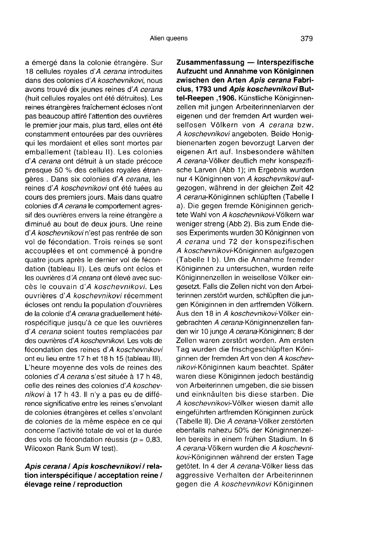a émergé dans la colonie étrangère. Sur 18 cellules royales d'A cerana introduites dans des colonies d'A koschevnikovi, nous avons trouvé dix jeunes reines d'A cerana (huit cellules royales ont été détruites). Les reines étrangères fraîchement écloses n'ont pas beaucoup attiré l'attention des ouvrières le premier jour mais, plus tard, elles ont été constamment entourées par des ouvrières qui les mordaient et elles sont mortes par emballement (tableau II). Les colonies d'A cerana ont détruit à un stade précoce presque 50 % des cellules royales étrangères . Dans six colonies d'A cerana, les reines d'A koschevnikovi ont été tuées au cours des premiers jours. Mais dans quatre colonies d'A cerana le comportement agressif des ouvrières envers la reine étrangère a diminué au bout de deux jours. Une reine d'A koschevnikovi n'est pas rentrée de son vol de fécondation. Trois reines se sont accouplées et ont commencé à pondre quatre jours après le dernier vol de fécondation (tableau II). Les œufs ont éclos et les ouvrières d'A cerana ont élevé avec succès le couvain d'A koschevnikovi. Les ouvrières d'A koschevnikovi récemment écloses ont rendu la population d'ouvrières de la colonie d'A cerana graduellement hétérospécifique jusqu'à ce que les ouvrières d'A cerana soient toutes remplacées par des ouvrières d'A koschevnikovi. Les vols de fécondation des reines d'A koschevnikovi ont eu lieu entre 17 h et 18 h 15 (tableau III). L'heure moyenne des vols de reines des colonies d'A cerana s'est située à 17 h 48, celle des reines des colonies d'A koschevnikovi à 17 h 43. Il n'y a pas eu de différence significative entre les reines s'envolant de colonies étrangères et celles s'envolant de colonies de la même espèce en ce qui concerne l'activité totale de vol et la durée des vols de fécondation réussis ( $p = 0.83$ . Wilcoxon Rank Sum W test).

## Apis cerana / Apis koschevnikovi / relation interspécifique / acceptation reine / élevage reine / reproduction

Zusammenfassung — Interspezifische Aufzucht und Annahme von Königinnen zwischen den Arten Apis cerana Fabricius, 1793 und Apis koschevnikovi Buttel-Reepen , 1906. Künstliche Königinnenzellen mit jungen Arbeiterinnenlarven der eigenen und der fremden Art wurden weisellosen Völkern von A cerana bzw. A koschevnikovi angeboten. Beide Honigbienenarten zogen bevorzugt Larven der eigenen Art auf. Insbesondere wählten A cerana-Völker deutlich mehr konspezifische Larven (Abb 1); im Ergebnis wurden nur 4 Königinnen von A koschevnikovi aufgezogen, während in der gleichen Zeit 42 A cerana-Königinnen schlüpften (Tabelle I a). Die gegen fremde Königinnen gerich tete Wahl von A koschevnikovi-Völkern war weniger streng (Abb 2). Bis zum Ende dieses Experiments wurden 30 Königinnen von A cerana und 72 der konspezifischen A koschevnikovi-Königinnen aufgezogen (Tabelle I b). Um die Annahme fremder Königinnen zu untersuchen, wurden reife Königinnenzellen in weisellose Völker eingesetzt. Falls die Zellen nicht von den Arbeiterinnen zerstört wurden, schlüpften die jungen Königinnen in den artfremden Völkern. Aus den 18 in A koschevnikovi-Völker eingebrachten A cerana-Königinnenzellen fanden wir 10 junge A cerana-Königinnen; 8 der Zellen waren zerstört worden. Am ersten Tag wurden die frischgeschlüpften Königinnen der fremden Art von den A koschevnikovi-Königinnen kaum beachtet. Später waren diese Königinnen jedoch beständig von Arbeiterinnen umgeben, die sie bissen und einknäulten bis diese starben. Die A koschevnikovi-Völker wiesen damit alle eingeführten artfremden Königinnen zurück (Tabelle II). Die A cerana-Völker zerstörten ebenfalls nahezu 50% der Königinnenzellen bereits in einem frühen Stadium. In 6 A cerana-Völkern wurden die A koschevnikovi-Königinnen während der ersten Tage getötet. In 4 der A cerana-Völker liess das aggressive Verhalten der Arbeiterinnen gegen die A koschevnikovi Königinnen